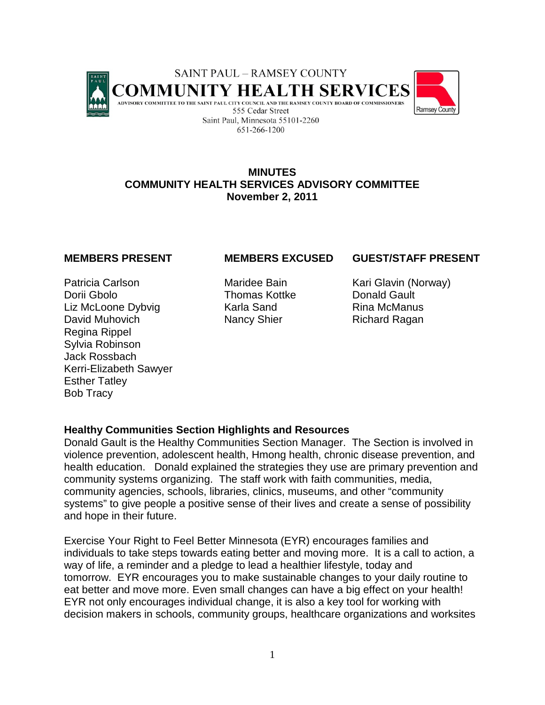

## **MINUTES COMMUNITY HEALTH SERVICES ADVISORY COMMITTEE November 2, 2011**

Patricia Carlson Maridee Bain Kari Glavin (Norway) Dorii Gbolo Thomas Kottke Donald Gault Liz McLoone Dybvig **Karla Sand Rina McManus** David Muhovich Nancy Shier Richard Ragan Regina Rippel Sylvia Robinson Jack Rossbach Kerri-Elizabeth Sawyer Esther Tatley Bob Tracy

# **MEMBERS PRESENT MEMBERS EXCUSED GUEST/STAFF PRESENT**

# **Healthy Communities Section Highlights and Resources**

Donald Gault is the Healthy Communities Section Manager. The Section is involved in violence prevention, adolescent health, Hmong health, chronic disease prevention, and health education. Donald explained the strategies they use are primary prevention and community systems organizing. The staff work with faith communities, media, community agencies, schools, libraries, clinics, museums, and other "community systems" to give people a positive sense of their lives and create a sense of possibility and hope in their future.

Exercise Your Right to Feel Better Minnesota (EYR) encourages families and individuals to take steps towards eating better and moving more. It is a call to action, a way of life, a reminder and a pledge to lead a healthier lifestyle, today and tomorrow. EYR encourages you to make sustainable changes to your daily routine to eat better and move more. Even small changes can have a big effect on your health! EYR not only encourages individual change, it is also a key tool for working with decision makers in schools, community groups, healthcare organizations and worksites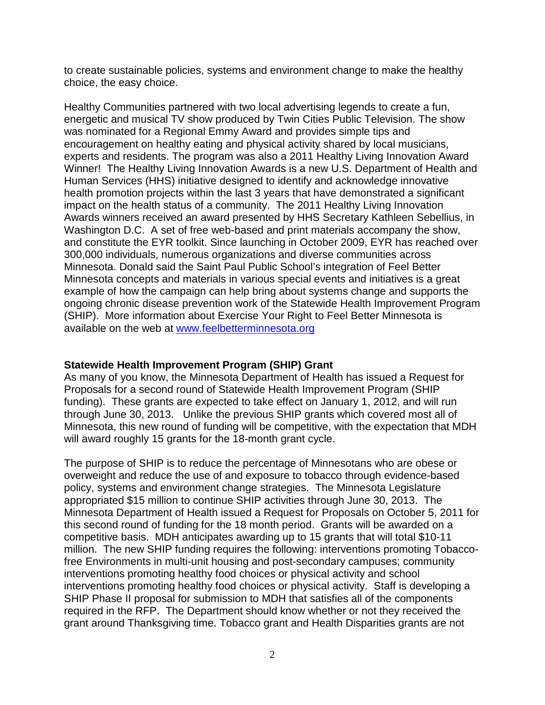to create sustainable policies, systems and environment change to make the healthy choice, the easy choice.

Healthy Communities partnered with two local advertising legends to create a fun, energetic and musical TV show produced by Twin Cities Public Television. The show was nominated for a Regional Emmy Award and provides simple tips and encouragement on healthy eating and physical activity shared by local musicians, experts and residents. The program was also a 2011 Healthy Living Innovation Award Winner! The Healthy Living Innovation Awards is a new U.S. Department of Health and Human Services (HHS) initiative designed to identify and acknowledge innovative health promotion projects within the last 3 years that have demonstrated a significant impact on the health status of a community. The 2011 Healthy Living Innovation Awards winners received an award presented by HHS Secretary Kathleen Sebellius, in Washington D.C. A set of free web-based and print materials accompany the show, and constitute the EYR toolkit. Since launching in October 2009, EYR has reached over 300,000 individuals, numerous organizations and diverse communities across Minnesota. Donald said the Saint Paul Public School's integration of Feel Better Minnesota concepts and materials in various special events and initiatives is a great example of how the campaign can help bring about systems change and supports the ongoing chronic disease prevention work of the Statewide Health Improvement Program (SHIP). More information about Exercise Your Right to Feel Better Minnesota is available on the web at [www.feelbetterminnesota.org](http://www.feelbetterminnesota.org/)

## **Statewide Health Improvement Program (SHIP) Grant**

As many of you know, the Minnesota Department of Health has issued a Request for Proposals for a second round of Statewide Health Improvement Program (SHIP funding). These grants are expected to take effect on January 1, 2012, and will run through June 30, 2013. Unlike the previous SHIP grants which covered most all of Minnesota, this new round of funding will be competitive, with the expectation that MDH will award roughly 15 grants for the 18-month grant cycle.

The purpose of SHIP is to reduce the percentage of Minnesotans who are obese or overweight and reduce the use of and exposure to tobacco through evidence-based policy, systems and environment change strategies. The Minnesota Legislature appropriated \$15 million to continue SHIP activities through June 30, 2013. The Minnesota Department of Health issued a Request for Proposals on October 5, 2011 for this second round of funding for the 18 month period. Grants will be awarded on a competitive basis. MDH anticipates awarding up to 15 grants that will total \$10-11 million. The new SHIP funding requires the following: interventions promoting Tobaccofree Environments in multi-unit housing and post-secondary campuses; community interventions promoting healthy food choices or physical activity and school interventions promoting healthy food choices or physical activity. Staff is developing a SHIP Phase II proposal for submission to MDH that satisfies all of the components required in the RFP. The Department should know whether or not they received the grant around Thanksgiving time. Tobacco grant and Health Disparities grants are not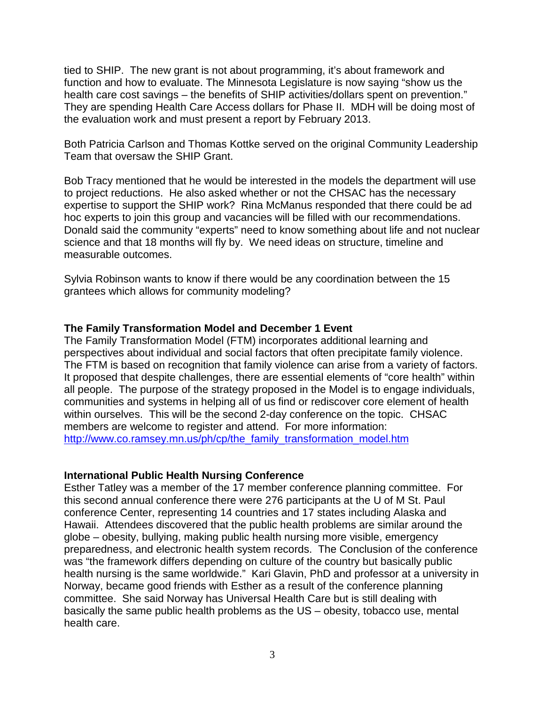tied to SHIP. The new grant is not about programming, it's about framework and function and how to evaluate. The Minnesota Legislature is now saying "show us the health care cost savings – the benefits of SHIP activities/dollars spent on prevention." They are spending Health Care Access dollars for Phase II. MDH will be doing most of the evaluation work and must present a report by February 2013.

Both Patricia Carlson and Thomas Kottke served on the original Community Leadership Team that oversaw the SHIP Grant.

Bob Tracy mentioned that he would be interested in the models the department will use to project reductions. He also asked whether or not the CHSAC has the necessary expertise to support the SHIP work? Rina McManus responded that there could be ad hoc experts to join this group and vacancies will be filled with our recommendations. Donald said the community "experts" need to know something about life and not nuclear science and that 18 months will fly by. We need ideas on structure, timeline and measurable outcomes.

Sylvia Robinson wants to know if there would be any coordination between the 15 grantees which allows for community modeling?

### **The Family Transformation Model and December 1 Event**

The Family Transformation Model (FTM) incorporates additional learning and perspectives about individual and social factors that often precipitate family violence. The FTM is based on recognition that family violence can arise from a variety of factors. It proposed that despite challenges, there are essential elements of "core health" within all people. The purpose of the strategy proposed in the Model is to engage individuals, communities and systems in helping all of us find or rediscover core element of health within ourselves. This will be the second 2-day conference on the topic. CHSAC members are welcome to register and attend. For more information: [http://www.co.ramsey.mn.us/ph/cp/the\\_family\\_transformation\\_model.htm](http://www.co.ramsey.mn.us/ph/cp/the_family_transformation_model.htm)

### **International Public Health Nursing Conference**

Esther Tatley was a member of the 17 member conference planning committee. For this second annual conference there were 276 participants at the U of M St. Paul conference Center, representing 14 countries and 17 states including Alaska and Hawaii. Attendees discovered that the public health problems are similar around the globe – obesity, bullying, making public health nursing more visible, emergency preparedness, and electronic health system records. The Conclusion of the conference was "the framework differs depending on culture of the country but basically public health nursing is the same worldwide." Kari Glavin, PhD and professor at a university in Norway, became good friends with Esther as a result of the conference planning committee. She said Norway has Universal Health Care but is still dealing with basically the same public health problems as the US – obesity, tobacco use, mental health care.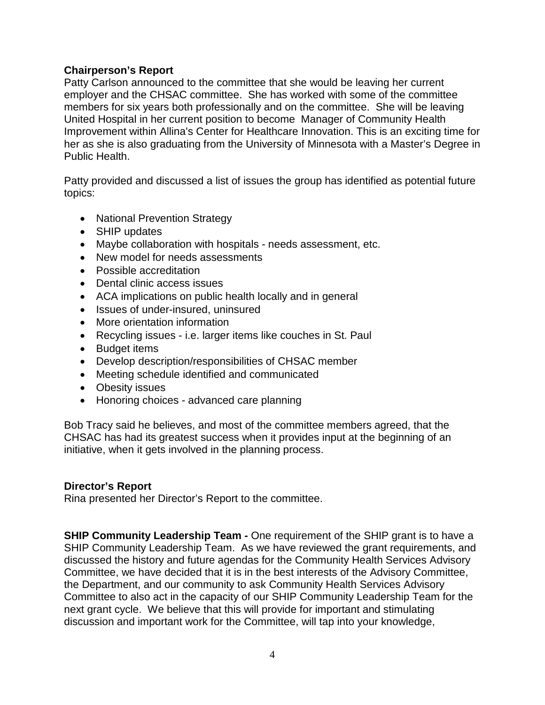## **Chairperson's Report**

Patty Carlson announced to the committee that she would be leaving her current employer and the CHSAC committee. She has worked with some of the committee members for six years both professionally and on the committee. She will be leaving United Hospital in her current position to become Manager of Community Health Improvement within Allina's Center for Healthcare Innovation. This is an exciting time for her as she is also graduating from the University of Minnesota with a Master's Degree in Public Health.

Patty provided and discussed a list of issues the group has identified as potential future topics:

- National Prevention Strategy
- SHIP updates
- Maybe collaboration with hospitals needs assessment, etc.
- New model for needs assessments
- Possible accreditation
- Dental clinic access issues
- ACA implications on public health locally and in general
- Issues of under-insured, uninsured
- More orientation information
- Recycling issues i.e. larger items like couches in St. Paul
- Budget items
- Develop description/responsibilities of CHSAC member
- Meeting schedule identified and communicated
- Obesity issues
- Honoring choices advanced care planning

Bob Tracy said he believes, and most of the committee members agreed, that the CHSAC has had its greatest success when it provides input at the beginning of an initiative, when it gets involved in the planning process.

## **Director's Report**

Rina presented her Director's Report to the committee.

**SHIP Community Leadership Team -** One requirement of the SHIP grant is to have a SHIP Community Leadership Team. As we have reviewed the grant requirements, and discussed the history and future agendas for the Community Health Services Advisory Committee, we have decided that it is in the best interests of the Advisory Committee, the Department, and our community to ask Community Health Services Advisory Committee to also act in the capacity of our SHIP Community Leadership Team for the next grant cycle. We believe that this will provide for important and stimulating discussion and important work for the Committee, will tap into your knowledge,